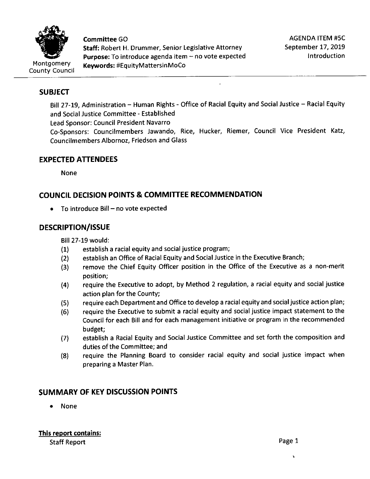

**Committee** GO **Staff:** Robert H. Drummer, Senior Legislative Attorney Purpose: To introduce agenda item - no vote expected **Keywords:** #EquityMattersinMoCo

# **SUBJECT**

Bill 27-19, Administration - Human Rights - Office of Racial Equity and Social Justice - Racial Equity and Social Justice Committee - Established

Lead Sponsor: Council President Navarro

Co-Sponsors: Councilmembers Jawando, Rice, Hucker, Riemer, Council Vice President Katz, Councilmembers Albornoz, Friedson and Glass

# **EXPECTED ATTENDEES**

None

# **COUNCIL DECISION POINTS & COMMITTEE RECOMMENDATION**

 $\bullet$  To introduce Bill – no vote expected

# **DESCRIPTION/ISSUE**

Bill 27-19 would:

- (1) establish a racial equity and social justice program;
- (2) establish an Office of Racial Equity and Social Justice in the Executive Branch;
- (3) remove the Chief Equity Officer position in the Office of the Executive as a non-merit position;
- (4) require the Executive to adopt, by Method 2 regulation, a racial equity and social justice action plan for the County;
- (5) require each Department and Office to develop a racial equity and social justice action plan;
- (6) require the Executive to submit a racial equity and social justice impact statement to the Council for each Bill and for each management initiative or program in the recommended budget;
- (7) establish **a** Racial Equity and Social Justice Committee and set forth the composition and duties of the Committee; and
- (8) require the Planning Board to consider racial equity and social justice impact when preparing a Master Plan.

# **SUMMARY OF KEY DISCUSSION POINTS**

• None

'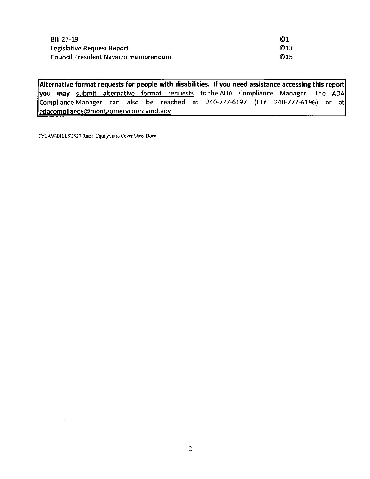| <b>Bill 27-19</b>                           | @1  |
|---------------------------------------------|-----|
| Legislative Request Report                  | O13 |
| <b>Council President Navarro memorandum</b> | O15 |

**Alternative format requests for people with disabilities.** If **you need assistance accessing this report you may** submit alternative format requests to the ADA Compliance Manager. The ADA Compliance Manager can also be reached at 240-777-6197 (TTY 240-777-6196) or at adacompliance@montgomerycountymd.gov

F:\LA W\BILLS\1927 Racial Equity\Intro Cover Sheet.Docx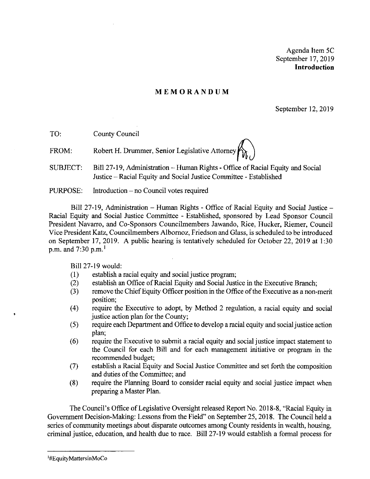Agenda Item SC September 17, 2019 **Introduction** 

#### **MEMORANDUM**

September 12, 2019

TO: County Council

FROM: Robert H. Drummer, Senior Legislative Attorney

SUBJECT: Bill 27-19, Administration - Human Rights - Office of Racial Equity and Social Justice - Racial Equity and Social Justice Committee - Established

PURPOSE: Introduction – no Council votes required

Bill 27-19, Administration- Human Rights - Office of Racial Equity and Social Justice - Racial Equity and Social Justice Committee - Established, sponsored by Lead Sponsor Council President Navarro, and Co-Sponsors Councilmembers Jawando, Rice, Hucker, Riemer, Council Vice President Katz, Councilmembers Albornoz, Friedson and Glass, is scheduled to be introduced on September 17, 2019. A public hearing is tentatively scheduled for October 22, 2019 at 1:30 p.m. and 7:30 p.m.<sup>1</sup>

Bill 27-19 would:

- (I) establish a racial equity and social justice program;
- (2) establish an Office of Racial Equity and Social Justice in the Executive Branch;
- (3) remove the Chief Equity Officer position in the Office of the Executive as a non-merit position;
- ( 4) require the Executive to adopt, by Method 2 regulation, a racial equity and social justice action plan for the County;
- ( 5) require each Department and Office to develop a racial equity and social justice action plan;
- (6) require the Executive to submit a racial equity and social justice impact statement to the Council for each Bill and for each management initiative or program in the recommended budget;
- (7) establish a Racial Equity and Social Justice Committee and set forth the composition and duties of the Committee; and
- (8) require the Planning Board to consider racial equity and social justice impact when preparing a Master Plan.

The Council's Office of Legislative Oversight released Report No. 2018-8, "Racial Equity in Government Decision-Making: Lessons from the Field" on September 25, 2018. The Council held a series of community meetings about disparate outcomes among County residents in wealth, housing, criminal justice, education, and health due to race. Bill 27-19 would establish a formal process for

'

<sup>&</sup>lt;sup>1</sup>#EquityMattersinMoCo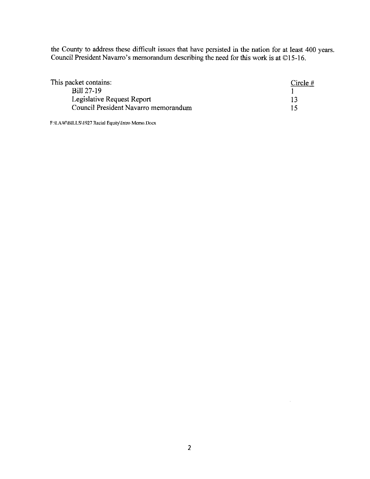the County to address these difficult issues that have persisted in the nation for at least 400 years. Council President Navarro's memorandum describing the need for this work is at ©15-16.

| This packet contains:                | Circle $#$ |
|--------------------------------------|------------|
| Bill 27-19                           |            |
| Legislative Request Report           |            |
| Council President Navarro memorandum |            |

**F:\LA W\BILLS\1927 Racial Equity\lntro Memo.Docx** 

 $\bar{z}$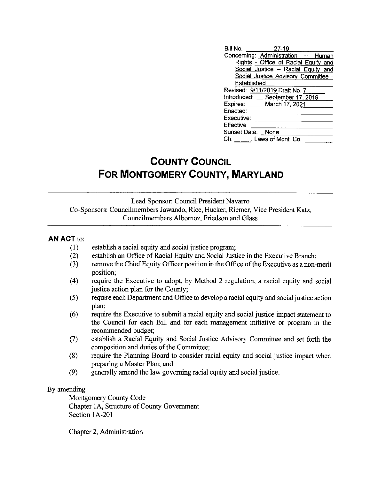| Bill No. 27-19    |                                      |  |
|-------------------|--------------------------------------|--|
|                   | Concerning: Administration - Human   |  |
|                   | Rights - Office of Racial Equity and |  |
|                   | Social Justice - Racial Equity and   |  |
|                   | Social Justice Advisory Committee -  |  |
| Established       |                                      |  |
|                   | Revised: 9/11/2019 Draft No. 7       |  |
|                   | Introduced: September 17, 2019       |  |
|                   | Expires: March 17, 2021              |  |
| Enacted:          |                                      |  |
| Executive:        |                                      |  |
| Effective:        |                                      |  |
| Sunset Date: None |                                      |  |
|                   | $Ch.$ _____, Laws of Mont. Co.       |  |
|                   |                                      |  |

# **COUNTY COUNCIL FOR MONTGOMERY COUNTY, MARYLAND**

Lead Sponsor: Council President Navarro Co-Sponsors: Councilmembers Jawando, Rice, Hucker, Riemer, Vice President Katz, Councilmembers Albornoz, Friedson and Glass

#### **AN ACT** to:

- (1) establish a racial equity and social justice program;
- (2) establish an Office of Racial Equity and Social Justice in the Executive Branch;
- (3) remove the Chief Equity Officer position in the Office of the Executive as a non-merit position;
- (4) require the Executive to adopt, by Method 2 regulation, a racial equity and social justice action plan for the County;
- (5) require each Department and Office to develop a racial equity and social justice action plan;
- (6) require the Executive to submit a racial equity and social justice impact statement to the Council for each Bill and for each management initiative or program in the recommended budget;
- (7) establish a Racial Equity and Social Justice Advisory Committee and set forth the composition and duties of the Committee;
- (8) require the Planning Board to consider racial equity and social justice impact when preparing a Master Plan; and
- (9) generally amend the law governing racial equity and social justice.

#### By amending

Montgomery County Code Chapter IA, Structure of County Government Section 1A-201

Chapter 2, Administration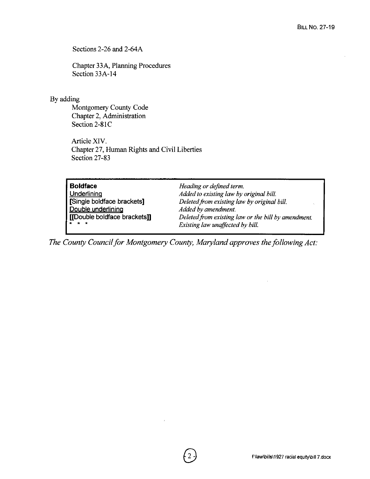Sections 2-26 and 2-64A

Chapter 33A, Planning Procedures Section 33A-14

#### By adding

Montgomery County Code Chapter 2, Administration Section 2-81C

Article XIV. Chapter 27, Human Rights and Civil Liberties Section 27-83

| <b>Boldface</b>                     | Heading or defined term.                            |
|-------------------------------------|-----------------------------------------------------|
| <b>Underlining</b>                  | Added to existing law by original bill.             |
| Single boldface brackets]           | Deleted from existing law by original bill.         |
| Double underlining                  | Added by amendment.                                 |
| <b>[[Double boldface brackets]]</b> | Deleted from existing law or the bill by amendment. |
| <b>I</b> * * *                      | Existing law unaffected by bill.                    |

*The County Council for Montgomery County, Maryland approves the following Act:*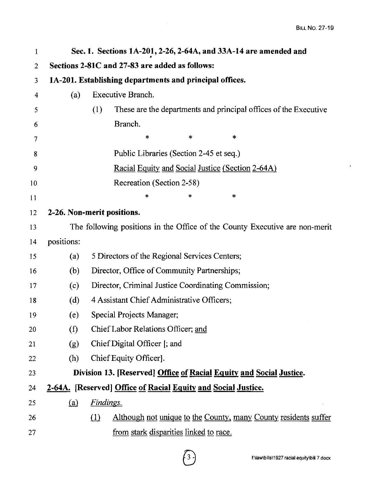| $\mathbf{1}$   |                                                         | Sec. 1. Sections 1A-201, 2-26, 2-64A, and 33A-14 are amended and            |  |  |  |  |
|----------------|---------------------------------------------------------|-----------------------------------------------------------------------------|--|--|--|--|
| $\overline{2}$ |                                                         | Sections 2-81C and 27-83 are added as follows:                              |  |  |  |  |
| 3              | 1A-201. Establishing departments and principal offices. |                                                                             |  |  |  |  |
| 4              | (a)                                                     | Executive Branch.                                                           |  |  |  |  |
| 5              |                                                         | These are the departments and principal offices of the Executive<br>(1)     |  |  |  |  |
| 6              |                                                         | Branch.                                                                     |  |  |  |  |
| 7              |                                                         | $\star$<br>$\ast$<br>*                                                      |  |  |  |  |
| 8              |                                                         | Public Libraries (Section 2-45 et seq.)                                     |  |  |  |  |
| 9              |                                                         | Racial Equity and Social Justice (Section 2-64A)                            |  |  |  |  |
| 10             |                                                         | Recreation (Section 2-58)                                                   |  |  |  |  |
| 11             |                                                         | ∗<br>∗<br>*                                                                 |  |  |  |  |
| 12             |                                                         | 2-26. Non-merit positions.                                                  |  |  |  |  |
| 13             |                                                         | The following positions in the Office of the County Executive are non-merit |  |  |  |  |
| 14             | positions:                                              |                                                                             |  |  |  |  |
| 15             | (a)                                                     | 5 Directors of the Regional Services Centers;                               |  |  |  |  |
| 16             | (b)                                                     | Director, Office of Community Partnerships;                                 |  |  |  |  |
| 17             | (c)                                                     | Director, Criminal Justice Coordinating Commission;                         |  |  |  |  |
| 18             | (d)                                                     | 4 Assistant Chief Administrative Officers;                                  |  |  |  |  |
| 19             | (e)                                                     | Special Projects Manager;                                                   |  |  |  |  |
| 20             | (f)                                                     | Chief Labor Relations Officer; and                                          |  |  |  |  |
| 21             | (g)                                                     | Chief Digital Officer [; and                                                |  |  |  |  |
| 22             | (h)                                                     | Chief Equity Officer.                                                       |  |  |  |  |
| 23             |                                                         | Division 13. [Reserved] Office of Racial Equity and Social Justice.         |  |  |  |  |
| 24             |                                                         | 2-64A. [Reserved] Office of Racial Equity and Social Justice.               |  |  |  |  |
| 25             | (a)                                                     | Findings.                                                                   |  |  |  |  |
| 26             |                                                         | Although not unique to the County, many County residents suffer<br>$\Omega$ |  |  |  |  |
| 27             |                                                         | <u>from stark disparities linked to race.</u>                               |  |  |  |  |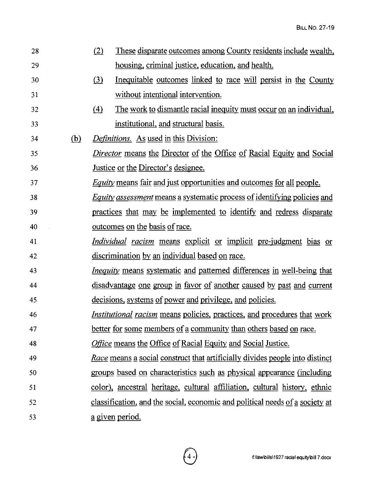| 28 |            | (2)              | These disparate outcomes among County residents include wealth,                     |
|----|------------|------------------|-------------------------------------------------------------------------------------|
| 29 |            |                  | housing, criminal justice, education, and health.                                   |
| 30 |            | $\left(3\right)$ | Inequitable outcomes linked to race will persist in the County                      |
| 31 |            |                  | without intentional intervention.                                                   |
| 32 |            | (4)              | The work to dismantle racial inequity must occur on an individual,                  |
| 33 |            |                  | institutional, and structural basis.                                                |
| 34 | <u>(b)</u> |                  | <i>Definitions.</i> As used in this Division:                                       |
| 35 |            |                  | <i>Director</i> means the Director of the Office of Racial Equity and Social        |
| 36 |            |                  | Justice or the Director's designee.                                                 |
| 37 |            |                  | <i>Equity</i> means fair and just opportunities and outcomes for all people.        |
| 38 |            |                  | <i>Equity assessment</i> means a systematic process of identifying policies and     |
| 39 |            |                  | practices that may be implemented to identify and redress disparate                 |
| 40 |            |                  | <u>outcomes</u> on the basis of race.                                               |
| 41 |            |                  | <i>Individual racism</i> means explicit or implicit pre-judgment bias or            |
| 42 |            |                  | discrimination by an individual based on race.                                      |
| 43 |            |                  | <i>Inequity</i> means systematic and patterned differences in well-being that       |
| 44 |            |                  | disadvantage one group in favor of another caused by past and current               |
| 45 |            |                  | decisions, systems of power and privilege, and policies.                            |
| 46 |            |                  | <i>Institutional racism</i> means policies, practices, and procedures that work     |
| 47 |            |                  | better for some members of a community than others based on race.                   |
| 48 |            |                  | Office means the Office of Racial Equity and Social Justice.                        |
| 49 |            |                  | <u>Race means a social construct that artificially divides people into distinct</u> |
| 50 |            |                  | groups based on characteristics such as physical appearance (including              |
| 51 |            |                  | color), ancestral heritage, cultural affiliation, cultural history, ethnic          |
| 52 |            |                  | classification, and the social, economic and political needs of a society at        |
| 53 |            |                  | <u>a given period.</u>                                                              |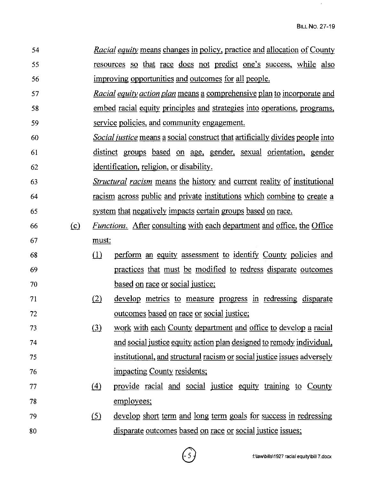- 54 55 56 *Racial equity* means changes in policy. practice and allocation of County resources so that race does not predict one's success, while also improving opportunities and outcomes for all people.
- 57 58 59 *Racial equity action plan* means a comprehensive plan to incorporate and embed racial equity principles and strategies into operations, programs. service policies, and community engagement.
- 60 61 62 *Social ;ustice* means a social construct that artificially divides people into distinct groups based on age, gender, sexual orientation, gender identification. religion, or disability.
- 63 64 *Structural racism* means the history and current reality of institutional racism across public and private institutions which combine to create a 65 system that negatively impacts certain groups based on race.
- 66 {£) *Functions.* After consulting with each department and office, the Office 67 must:
- 68 69 70 (1) perform an equity assessment to identify County policies and practices that must be modified to redress disparate outcomes based on race or social justice;
- 71 72 (2) develop metrics to measure progress in redressing disparate outcomes based on race or social justice;
- 73 74 75 76  $\delta$  work with each County department and office to develop a racial and social justice equity action plan designed to remedy individual, institutional, and structural racism or social justice issues adversely impacting County residents;
- 77 78 (4) provide racial and social justice equity training to County employees;
- 79 80  $\delta$  develop short term and long term goals for success in redressing disparate outcomes based on race or social justice issues;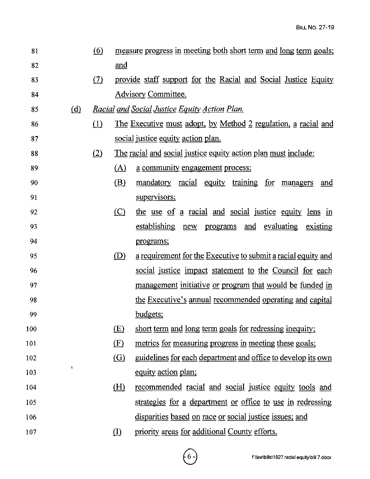| 81  |     | <u>(6)</u> |              | measure progress in meeting both short term and long term goals;    |
|-----|-----|------------|--------------|---------------------------------------------------------------------|
| 82  |     |            | <u>and</u>   |                                                                     |
| 83  |     | (7)        |              | provide staff support for the Racial and Social Justice Equity      |
| 84  |     |            |              | <b>Advisory Committee.</b>                                          |
| 85  | (d) |            |              | <u>Racial and Social Justice Equity Action Plan.</u>                |
| 86  |     | (1)        |              | The Executive must adopt, by Method 2 regulation, a racial and      |
| 87  |     |            |              | social justice equity action plan.                                  |
| 88  |     | (2)        |              | The racial and social justice equity action plan must include:      |
| 89  |     |            | (A)          | <u>a community engagement process;</u>                              |
| 90  |     |            | (B)          | mandatory racial equity training for managers<br>and                |
| 91  |     |            |              | supervisors;                                                        |
| 92  |     |            | $\circ$      | the use of a racial and social justice equity lens in               |
| 93  |     |            |              | establishing<br>and evaluating<br>new programs<br>existing          |
| 94  |     |            |              | programs;                                                           |
| 95  |     |            | (D)          | a requirement for the Executive to submit a racial equity and       |
| 96  |     |            |              | social justice impact statement to the Council for each             |
| 97  |     |            |              | <u>management initiative or program that would be funded in</u>     |
| 98  |     |            |              | the Executive's annual recommended operating and capital            |
| 99  |     |            |              | budgets;                                                            |
| 100 |     |            | (E)          | short term and long term goals for redressing inequity;             |
| 101 |     |            | (E)          | metrics for measuring progress in meeting these goals;              |
| 102 |     |            | (G)          | <u>guidelines for each department and office to develop its own</u> |
| 103 |     |            |              | equity action plan;                                                 |
| 104 |     |            | <u>(H)</u>   | recommended racial and social justice equity tools and              |
| 105 |     |            |              | strategies for a department or office to use in redressing          |
| 106 |     |            |              | disparities based on race or social justice issues; and             |
| 107 |     |            | $\mathbf{D}$ | priority areas for additional County efforts.                       |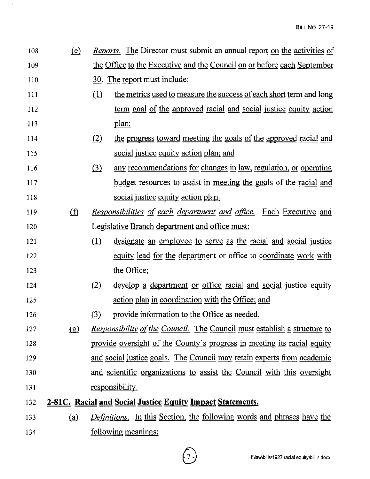| 108 | (e)        |          | Reports. The Director must submit an annual report on the activities of         |  |  |
|-----|------------|----------|---------------------------------------------------------------------------------|--|--|
| 109 |            |          | the Office to the Executive and the Council on or before each September         |  |  |
| 110 |            |          | <u>30. The report must include:</u>                                             |  |  |
| 111 |            | $\Omega$ | the metrics used to measure the success of each short term and long             |  |  |
| 112 |            |          | term goal of the approved racial and social justice equity action               |  |  |
| 113 |            |          | plan;                                                                           |  |  |
| 114 |            | (2)      | the progress toward meeting the goals of the approved racial and                |  |  |
| 115 |            |          | social justice equity action plan; and                                          |  |  |
| 116 |            | (3)      | any recommendations for changes in law, regulation, or operating                |  |  |
| 117 |            |          | <u>budget resources to assist in meeting the goals of the racial and</u>        |  |  |
| 118 |            |          | social justice equity action plan.                                              |  |  |
| 119 | $\Phi$     |          | <u>Responsibilities of each department and office. Each Executive and</u>       |  |  |
| 120 |            |          | Legislative Branch department and office must:                                  |  |  |
| 121 |            | (1)      | designate an employee to serve as the racial and social justice                 |  |  |
| 122 |            |          | equity lead for the department or office to coordinate work with                |  |  |
| 123 |            |          | the Office;                                                                     |  |  |
| 124 |            | (2)      | develop a department or office racial and social justice equity                 |  |  |
| 125 |            |          | action plan in coordination with the Office; and                                |  |  |
| 126 |            | $\Omega$ | provide information to the Office as needed.                                    |  |  |
| 127 | $\Omega$   |          | <i>Responsibility of the Council.</i> The Council must establish a structure to |  |  |
| 128 |            |          | provide oversight of the County's progress in meeting its racial equity         |  |  |
| 129 |            |          | and social justice goals. The Council may retain experts from academic          |  |  |
| 130 |            |          | and scientific organizations to assist the Council with this oversight          |  |  |
| 131 |            |          | <u>responsibility.</u>                                                          |  |  |
| 132 |            |          | 2-81C. Racial and Social Justice Equity Impact Statements.                      |  |  |
| 133 | <u>(a)</u> |          | <i>Definitions.</i> In this Section, the following words and phrases have the   |  |  |
| 134 |            |          | <u>following meanings:</u>                                                      |  |  |

 $\hat{\boldsymbol{\beta}}$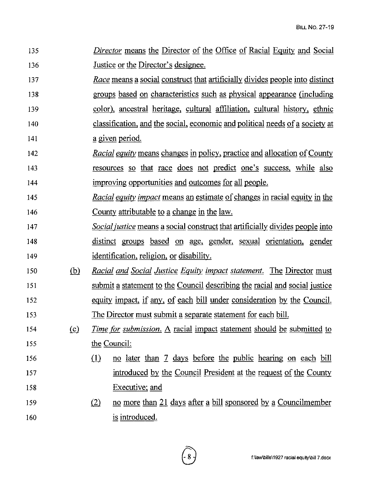136 137 138 139 140 141 142 143 144 145 146 147 148 149 Justice or the Director's designee. *Race* means a social construct that artificially divides people into distinct groups based on characteristics such as physical appearance (including color), ancestral heritage, cultural affiliation, cultural history, ethnic classification, and the social, economic and political needs of a society at a given period. *Racial equity* means changes in policy, practice and allocation of County resources so that race does not predict one's success, while also improving opportunities and outcomes for all people. *Racial equity impact* means an estimate of changes in racial equity in the County attributable to a change in the law. *Social ;ustice* means a social construct that artificially divides people into distinct groups based on age, gender, sexual orientation, gender identification, religion, or disability. 150 ® *Racial and Social Justice Equity impact statement.* The Director must 151 152 153 submit a statement to the Council describing the racial and social justice equity impact, if any, of each bill under consideration by the Council. The Director must submit a separate statement for each bill. 154 {£) *Time for submission.* A racial impact statement should be submitted to 155 the Council: 156 (1) no later than 7 days before the public hearing on each bill 157 158 159 160 introduced by the Council President at the request of the County Executive; and  $(2)$  no more than 21 days after a bill sponsored by a Councilmember is introduced.

*Director* means the Director of the Office of Racial Equity and Social

135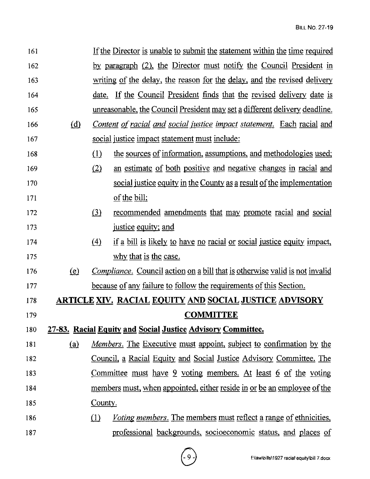| 161 |              | If the Director is unable to submit the statement within the time required                  |
|-----|--------------|---------------------------------------------------------------------------------------------|
| 162 |              | by paragraph (2), the Director must notify the Council President in                         |
| 163 |              | writing of the delay, the reason for the delay, and the revised delivery                    |
| 164 |              | <u>date. If the Council President finds that the revised delivery date is</u>               |
| 165 |              | unreasonable, the Council President may set a different delivery deadline.                  |
| 166 | ( <u>d</u> ) | Content of racial and social justice impact statement. Each racial and                      |
| 167 |              | social justice impact statement must include:                                               |
| 168 |              | the sources of information, assumptions, and methodologies used;<br>$\Omega$                |
| 169 |              | (2)<br>an estimate of both positive and negative changes in racial and                      |
| 170 |              | social justice equity in the County as a result of the implementation                       |
| 171 |              | of the bill;                                                                                |
| 172 |              | $\left( \underline{3} \right)$<br>recommended amendments that may promote racial and social |
| 173 |              | justice equity; and                                                                         |
| 174 |              | if a bill is likely to have no racial or social justice equity impact,<br>$\left(4\right)$  |
| 175 |              | why that is the case.                                                                       |
| 176 | <u>(e)</u>   | <i>Compliance.</i> Council action on a bill that is otherwise valid is not invalid          |
| 177 |              | <u>because of any failure to follow the requirements of this Section.</u>                   |
| 178 |              | <b>ARTICLE XIV. RACIAL EQUITY AND SOCIAL JUSTICE ADVISORY</b>                               |
| 179 |              | <u>COMMITTEE</u>                                                                            |
| 180 |              | 27-83. Racial Equity and Social Justice Advisory Committee.                                 |
| 181 | <u>(a)</u>   | <u>Members. The Executive must appoint, subject to confirmation by the</u>                  |
| 182 |              | Council, a Racial Equity and Social Justice Advisory Committee. The                         |
| 183 |              | Committee must have $9$ voting members. At least $6$ of the voting                          |
| 184 |              | members must, when appointed, either reside in or be an employee of the                     |
| 185 |              | County.                                                                                     |
| 186 |              | <i>Voting members.</i> The members must reflect a range of ethnicities,<br>(1)              |
| 187 |              | professional backgrounds, socioeconomic status, and places of                               |

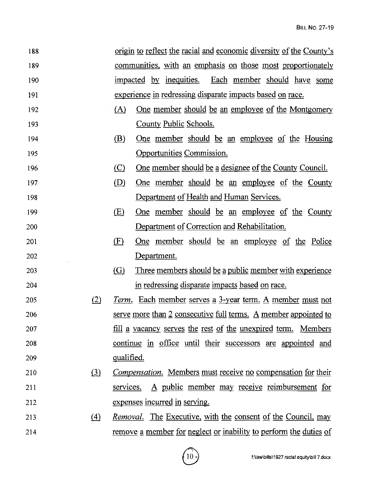| 188 |                  |            | <u>origin to reflect the racial and economic diversity of the County's</u> |
|-----|------------------|------------|----------------------------------------------------------------------------|
| 189 |                  |            | communities, with an emphasis on those most proportionately                |
| 190 |                  |            | impacted by inequities. Each member should have some                       |
| 191 |                  |            | experience in redressing disparate impacts based on race.                  |
| 192 |                  | (A)        | <u>One member should be an employee of the Montgomery</u>                  |
| 193 |                  |            | County Public Schools.                                                     |
| 194 |                  | (B)        | <u>One member should be an employee of the Housing</u>                     |
| 195 |                  |            | <b>Opportunities Commission.</b>                                           |
| 196 |                  | $\circ$    | One member should be a designee of the County Council.                     |
| 197 |                  | (D)        | <u>One</u> member should be an employee of the County                      |
| 198 |                  |            | Department of Health and Human Services.                                   |
| 199 |                  | (E)        | <u>One</u> member should be an employee of the County                      |
| 200 |                  |            | Department of Correction and Rehabilitation.                               |
| 201 |                  | (E)        | <u>One member should be an employee of the Police</u>                      |
| 202 |                  |            | Department.                                                                |
| 203 |                  | (G)        | Three members should be a public member with experience                    |
| 204 |                  |            | in redressing disparate impacts based on race.                             |
| 205 | (2)              | Term.      | Each member serves a 3-year term. A member must not                        |
| 206 |                  |            | serve more than 2 consecutive full terms. A member appointed to            |
| 207 |                  |            | <u>fill a vacancy serves the rest of the unexpired term. Members</u>       |
| 208 |                  |            | continue in office until their successors are appointed and                |
| 209 |                  | qualified. |                                                                            |
| 210 | $\Omega$         |            | <i>Compensation.</i> Members must receive no compensation for their        |
| 211 |                  | services.  | A public member may receive reimbursement for                              |
| 212 |                  |            | expenses incurred in serving.                                              |
| 213 | $\left(4\right)$ |            | <u>Removal.</u> The Executive, with the consent of the Council, may        |
| 214 |                  |            | remove a member for neglect or inability to perform the duties of          |
|     |                  |            |                                                                            |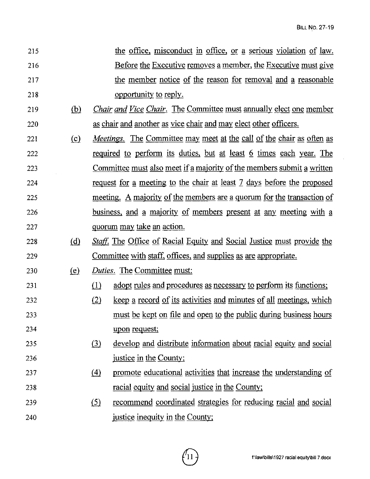| 215 | the office, misconduct in office, or a serious violation of law. |
|-----|------------------------------------------------------------------|
| 216 | Before the Executive removes a member, the Executive must give   |
| 217 | the member notice of the reason for removal and a reasonable     |
| 218 | opportunity to reply.                                            |

- 219 *(hl Chair and Vice Chair.* The Committee must annually elect one member 220 as chair and another as vice chair and may elect other officers.
- 221 {£) *Meetings.* The Committee may meet at the call of the chair as often as 222 required to perform its duties, but at least *§.* times each year. The 223 224 225 226 Committee must also meet if a majority of the members submit a written request for a meeting to the chair at least 7 days before the proposed meeting. A majority of the members are a quorum for the transaction of business, and a majority of members present at any meeting with a 227 quorum may take an action.
- 228 (d) *Staff.* The Office of Racial Equity and Social Justice must provide the 229 Committee with staff, offices, and supplies as are appropriate.
- 230 (e) *Duties*. The Committee must:

231

- $\lambda$  adopt rules and procedures as necessary to perform its functions;
- 232 233 234  $(2)$  keep a record of its activities and minutes of all meetings, which must be kept on file and open to the public during business hours upon request;
- 235 236  $i$ ll develop and distribute information about racial equity and social justice in the County;
- 237 238 (4) promote educational activities that increase the understanding of racial equity and social justice in the County;
- 239 240 (5) recommend coordinated strategies for reducing racial and social justice inequity in the County;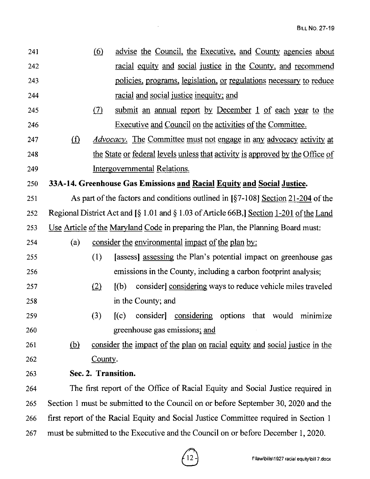| 241 |                | $\circ$ | advise the Council, the Executive, and County agencies about                                                |
|-----|----------------|---------|-------------------------------------------------------------------------------------------------------------|
| 242 |                |         | racial equity and social justice in the County, and recommend                                               |
| 243 |                |         | policies, programs, legislation, or regulations necessary to reduce                                         |
| 244 |                |         | racial and social justice inequity; and                                                                     |
| 245 |                | (7)     | submit an annual report by December 1 of each year to the                                                   |
| 246 |                |         | Executive and Council on the activities of the Committee.                                                   |
| 247 | $\Omega$       |         | Advocacy. The Committee must not engage in any advocacy activity at                                         |
| 248 |                |         | the State or federal levels unless that activity is approved by the Office of                               |
| 249 |                |         | <b>Intergovernmental Relations.</b>                                                                         |
| 250 |                |         | 33A-14. Greenhouse Gas Emissions and Racial Equity and Social Justice.                                      |
| 251 |                |         | As part of the factors and conditions outlined in $\left[\frac{6}{7}-108\right]$ Section 21-204 of the      |
| 252 |                |         | Regional District Act and $\lceil \xi \rceil$ 1.01 and $\xi$ 1.03 of Article 66B, Section 1-201 of the Land |
| 253 |                |         | Use Article of the Maryland Code in preparing the Plan, the Planning Board must:                            |
| 254 | (a)            |         | consider the environmental impact of the plan by:                                                           |
| 255 |                | (1)     | [assess] assessing the Plan's potential impact on greenhouse gas                                            |
| 256 |                |         | emissions in the County, including a carbon footprint analysis;                                             |
| 257 |                | (2)     | [(b)]<br>consider considering ways to reduce vehicle miles traveled                                         |
| 258 |                |         | in the County; and                                                                                          |
| 259 |                | (3)     | consider considering options that would minimize<br>[(c)]                                                   |
| 260 |                |         | greenhouse gas emissions; and                                                                               |
| 261 | $\overline{b}$ |         | consider the impact of the plan on racial equity and social justice in the                                  |
| 262 |                | County. |                                                                                                             |
| 263 |                |         | Sec. 2. Transition.                                                                                         |
| 264 |                |         | The first report of the Office of Racial Equity and Social Justice required in                              |
| 265 |                |         | Section 1 must be submitted to the Council on or before September 30, 2020 and the                          |
| 266 |                |         | first report of the Racial Equity and Social Justice Committee required in Section 1                        |
| 267 |                |         | must be submitted to the Executive and the Council on or before December 1, 2020.                           |

 $\sim$ 

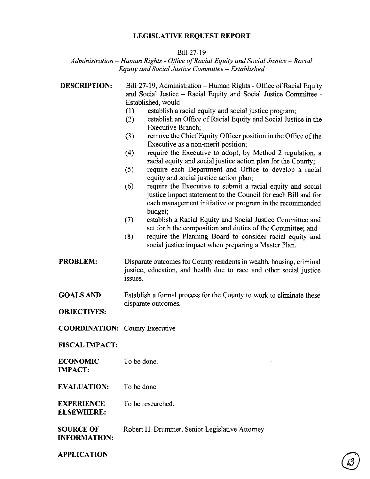#### **LEGISLATIVE REQUEST REPORT**

#### Bill 27-19

#### *Administration* - *Human Rights* - *Office of Racial Equity and Social Justice* - *Racial Equity and Social Justice Committee* - *Established*

| <b>DESCRIPTION:</b>                     | Bill 27-19, Administration - Human Rights - Office of Racial Equity<br>and Social Justice – Racial Equity and Social Justice Committee -<br>Established, would:<br>(1)<br>establish a racial equity and social justice program;<br>establish an Office of Racial Equity and Social Justice in the<br>(2)<br>Executive Branch;<br>remove the Chief Equity Officer position in the Office of the<br>(3)<br>Executive as a non-merit position;<br>require the Executive to adopt, by Method 2 regulation, a<br>(4)<br>racial equity and social justice action plan for the County;<br>require each Department and Office to develop a racial<br>(5)<br>equity and social justice action plan;<br>require the Executive to submit a racial equity and social<br>(6)<br>justice impact statement to the Council for each Bill and for<br>each management initiative or program in the recommended<br>budget;<br>establish a Racial Equity and Social Justice Committee and<br>(7)<br>set forth the composition and duties of the Committee; and<br>(8)<br>require the Planning Board to consider racial equity and<br>social justice impact when preparing a Master Plan. |
|-----------------------------------------|----------------------------------------------------------------------------------------------------------------------------------------------------------------------------------------------------------------------------------------------------------------------------------------------------------------------------------------------------------------------------------------------------------------------------------------------------------------------------------------------------------------------------------------------------------------------------------------------------------------------------------------------------------------------------------------------------------------------------------------------------------------------------------------------------------------------------------------------------------------------------------------------------------------------------------------------------------------------------------------------------------------------------------------------------------------------------------------------------------------------------------------------------------------------|
| <b>PROBLEM:</b>                         | Disparate outcomes for County residents in wealth, housing, criminal<br>justice, education, and health due to race and other social justice<br>issues.                                                                                                                                                                                                                                                                                                                                                                                                                                                                                                                                                                                                                                                                                                                                                                                                                                                                                                                                                                                                               |
| <b>GOALS AND</b>                        | Establish a formal process for the County to work to eliminate these<br>disparate outcomes.                                                                                                                                                                                                                                                                                                                                                                                                                                                                                                                                                                                                                                                                                                                                                                                                                                                                                                                                                                                                                                                                          |
| <b>OBJECTIVES:</b>                      |                                                                                                                                                                                                                                                                                                                                                                                                                                                                                                                                                                                                                                                                                                                                                                                                                                                                                                                                                                                                                                                                                                                                                                      |
| <b>COORDINATION:</b> County Executive   |                                                                                                                                                                                                                                                                                                                                                                                                                                                                                                                                                                                                                                                                                                                                                                                                                                                                                                                                                                                                                                                                                                                                                                      |
| <b>FISCAL IMPACT:</b>                   |                                                                                                                                                                                                                                                                                                                                                                                                                                                                                                                                                                                                                                                                                                                                                                                                                                                                                                                                                                                                                                                                                                                                                                      |
| <b>ECONOMIC</b><br><b>IMPACT:</b>       | To be done.                                                                                                                                                                                                                                                                                                                                                                                                                                                                                                                                                                                                                                                                                                                                                                                                                                                                                                                                                                                                                                                                                                                                                          |
| <b>EVALUATION:</b>                      | To be done.                                                                                                                                                                                                                                                                                                                                                                                                                                                                                                                                                                                                                                                                                                                                                                                                                                                                                                                                                                                                                                                                                                                                                          |
| <b>EXPERIENCE</b><br><b>ELSEWHERE:</b>  | To be researched.                                                                                                                                                                                                                                                                                                                                                                                                                                                                                                                                                                                                                                                                                                                                                                                                                                                                                                                                                                                                                                                                                                                                                    |
| <b>SOURCE OF</b><br><b>INFORMATION:</b> | Robert H. Drummer, Senior Legislative Attorney                                                                                                                                                                                                                                                                                                                                                                                                                                                                                                                                                                                                                                                                                                                                                                                                                                                                                                                                                                                                                                                                                                                       |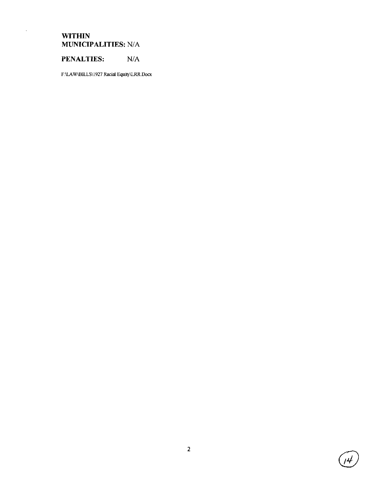## **WITHIN MUNICIPALITIES:** NIA

 $\bar{\beta}$ 

# **PENALTIES:** N/A

F:\LAW\BILLS\1927 Racial Equity\LRR.Docx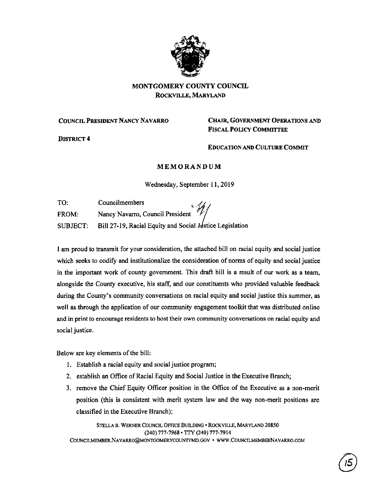

## MONTGOMERY COUNTY COUNCIL ROCKVILLE, MARYLAND

#### COUNCIL PRESIDENT NANCY NAVARRO **CHAIR, GOVERNMENT OPERATIONS AND**

DISTRICT 4

# FISCAL POLICY COMMITTEE

EDUCATION AND CULTURE COMMIT

#### **MEMORANDUM**

Wednesday, September 11, 2019

| TO:          | Councilmembers                                                    |
|--------------|-------------------------------------------------------------------|
| <b>FROM:</b> | Nancy Navarro, Council President                                  |
|              | SUBJECT: Bill 27-19, Racial Equity and Social Justice Legislation |

I am proud to transmit for your consideration, the attached bill on racial equity and social justice which seeks to codify and institutionalize the consideration of norms of equity and social justice in the important work of county government. This draft bill is a result of our work as a team, alongside the County executive, his staff, and our constituents who provided valuable feedback during the County's community conversations on racial equity and social justice this summer, as well as through the application of our community engagement toolkit that was distributed online and in print to encourage residents to host their own community conversations on racial equity and social justice.

Below are key elements of the bill:

- 1. Establish a racial equity and social justice program;
- 2. establish an Office of Racial Equity and Social Justice in **the** Executive Branch;
- 3. remove the Chief Equity Officer position in the Office of the Executive as a non-merit position (this is consistent with merit system law and the way non-merit positions are classified in the Executive Branch);

STELLA B. WERNER COUNCIL OFFICE BUILDING• ROCKVILLE, MARYLAND 20850 (240) 777-7968 • TTY (240) 777-7914

COUNCILMEMBER.NAVARRO@MONTGOMERYCOUNTYMD.GOV • www.COUNCILMEMBERNAVARRO.COM